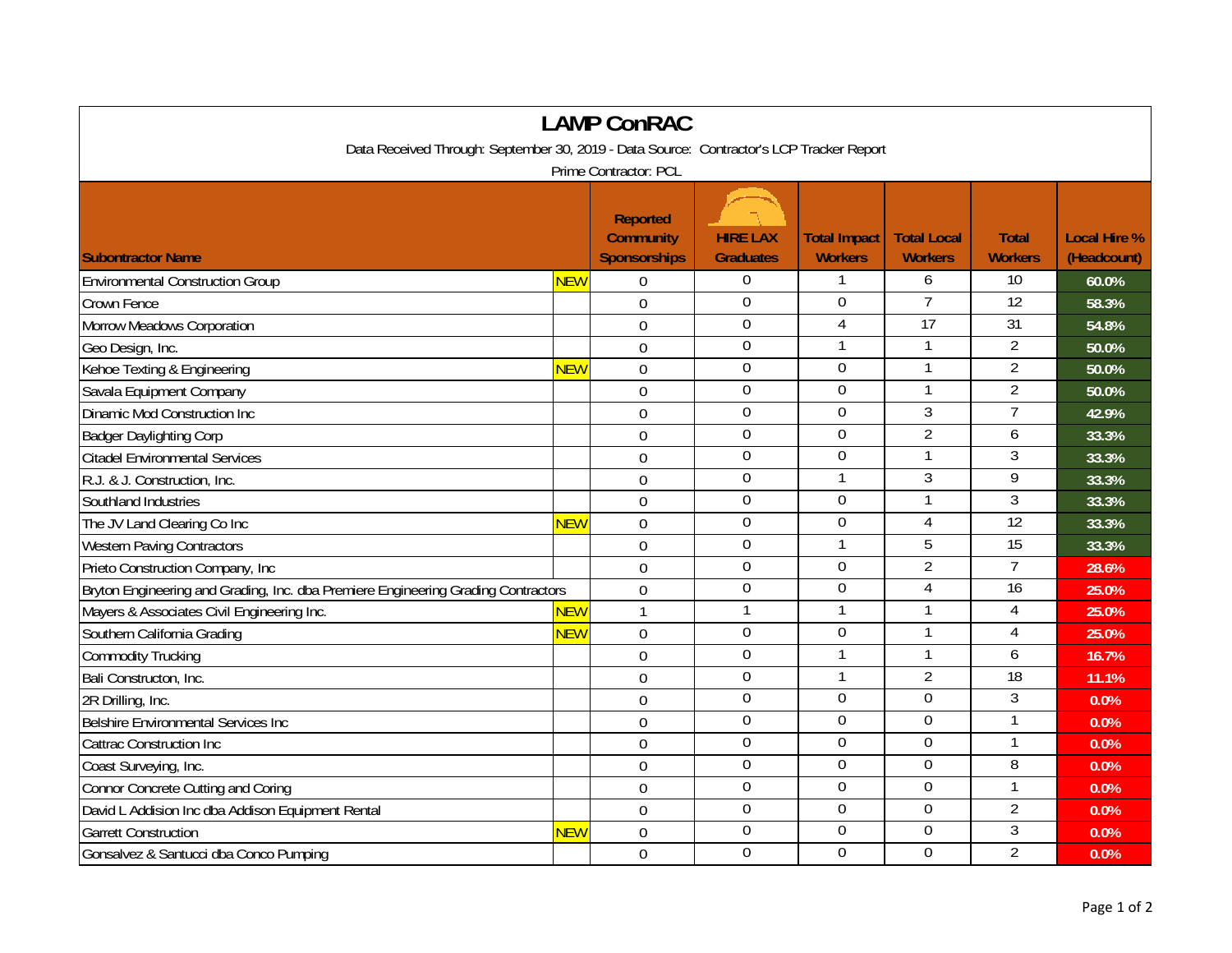| <b>LAMP ConRAC</b>                                                                       |            |                                                            |                                     |                                       |                                      |                                |                                    |  |  |  |  |  |
|------------------------------------------------------------------------------------------|------------|------------------------------------------------------------|-------------------------------------|---------------------------------------|--------------------------------------|--------------------------------|------------------------------------|--|--|--|--|--|
| Data Received Through: September 30, 2019 - Data Source: Contractor's LCP Tracker Report |            |                                                            |                                     |                                       |                                      |                                |                                    |  |  |  |  |  |
| Prime Contractor: PCL                                                                    |            |                                                            |                                     |                                       |                                      |                                |                                    |  |  |  |  |  |
| <b>Subontractor Name</b>                                                                 |            | <b>Reported</b><br><b>Community</b><br><b>Sponsorships</b> | <b>HIRE LAX</b><br><b>Graduates</b> | <b>Total Impact</b><br><b>Workers</b> | <b>Total Local</b><br><b>Workers</b> | <b>Total</b><br><b>Workers</b> | <b>Local Hire %</b><br>(Headcount) |  |  |  |  |  |
| <b>Environmental Construction Group</b>                                                  | NEW        | 0                                                          | $\boldsymbol{0}$                    | 1                                     | 6                                    | 10                             | 60.0%                              |  |  |  |  |  |
| Crown Fence                                                                              |            | $\mathbf 0$                                                | $\boldsymbol{0}$                    | $\mathbf 0$                           | $\overline{7}$                       | $\overline{12}$                | 58.3%                              |  |  |  |  |  |
| Morrow Meadows Corporation                                                               |            | $\overline{0}$                                             | $\mathbf 0$                         | $\overline{4}$                        | 17                                   | 31                             | 54.8%                              |  |  |  |  |  |
| Geo Design, Inc.                                                                         |            | $\overline{0}$                                             | $\mathbf 0$                         | 1                                     | $\mathbf{1}$                         | $\overline{2}$                 | 50.0%                              |  |  |  |  |  |
| Kehoe Texting & Engineering                                                              | <b>NEW</b> | $\mathbf 0$                                                | $\mathbf{0}$                        | $\Omega$                              | $\mathbf{1}$                         | $\overline{2}$                 | 50.0%                              |  |  |  |  |  |
| Savala Equipment Company                                                                 |            | $\mathbf 0$                                                | $\boldsymbol{0}$                    | 0                                     | $\mathbf{1}$                         | $\overline{2}$                 | 50.0%                              |  |  |  |  |  |
| Dinamic Mod Construction Inc                                                             |            | $\overline{0}$                                             | $\boldsymbol{0}$                    | 0                                     | 3                                    | 7                              | 42.9%                              |  |  |  |  |  |
| <b>Badger Daylighting Corp</b>                                                           |            | $\theta$                                                   | $\mathbf 0$                         | 0                                     | $\overline{2}$                       | 6                              | 33.3%                              |  |  |  |  |  |
| <b>Citadel Environmental Services</b>                                                    |            | $\mathbf 0$                                                | $\boldsymbol{0}$                    | $\mathbf 0$                           | $\mathbf{1}$                         | 3                              | 33.3%                              |  |  |  |  |  |
| R.J. & J. Construction, Inc.                                                             |            | $\overline{0}$                                             | $\boldsymbol{0}$                    | $\mathbf{1}$                          | $\mathfrak{Z}$                       | 9                              | 33.3%                              |  |  |  |  |  |
| Southland Industries                                                                     |            | 0                                                          | $\mathbf 0$                         | $\overline{0}$                        |                                      | 3                              | 33.3%                              |  |  |  |  |  |
| The JV Land Clearing Co Inc                                                              | NEW        | $\overline{0}$                                             | $\mathbf 0$                         | $\overline{0}$                        | $\overline{4}$                       | 12                             | 33.3%                              |  |  |  |  |  |
| <b>Western Paving Contractors</b>                                                        |            | $\mathbf 0$                                                | $\mathbf 0$                         |                                       | $\overline{5}$                       | $\overline{15}$                | 33.3%                              |  |  |  |  |  |
| Prieto Construction Company, Inc.                                                        |            | $\mathbf 0$                                                | $\mathbf 0$                         | $\mathbf 0$                           | $\overline{2}$                       | $\overline{7}$                 | 28.6%                              |  |  |  |  |  |
| Bryton Engineering and Grading, Inc. dba Premiere Engineering Grading Contractors        |            | $\overline{0}$                                             | $\mathbf 0$                         | $\mathbf 0$                           | 4                                    | $\overline{16}$                | 25.0%                              |  |  |  |  |  |
| Mayers & Associates Civil Engineering Inc.                                               | <b>NEW</b> | $\mathbf{1}$                                               | $\mathbf{1}$                        | $\mathbf{1}$                          |                                      | $\overline{4}$                 | 25.0%                              |  |  |  |  |  |
| Southern California Grading                                                              | <b>NEW</b> | $\mathbf 0$                                                | $\Omega$                            | 0                                     | $\mathbf{1}$                         | $\overline{4}$                 | 25.0%                              |  |  |  |  |  |
| <b>Commodity Trucking</b>                                                                |            | $\mathbf 0$                                                | $\boldsymbol{0}$                    | $\mathbf{1}$                          | $\mathbf{1}$                         | 6                              | 16.7%                              |  |  |  |  |  |
| Bali Constructon, Inc.                                                                   |            | $\mathbf 0$                                                | $\overline{0}$                      |                                       | $\overline{2}$                       | 18                             | 11.1%                              |  |  |  |  |  |
| 2R Drilling, Inc.                                                                        |            | $\overline{0}$                                             | $\mathbf 0$                         | 0                                     | $\mathbf 0$                          | 3                              | 0.0%                               |  |  |  |  |  |
| Belshire Environmental Services Inc                                                      |            | 0                                                          | $\overline{0}$                      | $\Omega$                              | $\overline{0}$                       | $\mathbf{1}$                   | 0.0%                               |  |  |  |  |  |
| <b>Cattrac Construction Inc</b>                                                          |            | $\overline{0}$                                             | $\mathbf 0$                         | 0                                     | $\mathbf 0$                          | $\mathbf{1}$                   | 0.0%                               |  |  |  |  |  |
| Coast Surveying, Inc.                                                                    |            | $\overline{0}$                                             | $\mathbf 0$                         | 0                                     | $\overline{0}$                       | 8                              | 0.0%                               |  |  |  |  |  |
| Connor Concrete Cutting and Coring                                                       |            | $\theta$                                                   | $\mathbf 0$                         | 0                                     | $\overline{0}$                       | 1                              | 0.0%                               |  |  |  |  |  |
| David L Addision Inc dba Addison Equipment Rental                                        |            | $\mathbf 0$                                                | $\mathbf 0$                         | 0                                     | $\mathbf 0$                          | $\overline{2}$                 | 0.0%                               |  |  |  |  |  |
| <b>Garrett Construction</b>                                                              | <b>NEW</b> | $\mathbf 0$                                                | $\mathbf 0$                         | 0                                     | $\boldsymbol{0}$                     | $\mathfrak{Z}$                 | 0.0%                               |  |  |  |  |  |
| Gonsalvez & Santucci dba Conco Pumping                                                   |            | $\mathbf 0$                                                | $\mathbf 0$                         | 0                                     | $\Omega$                             | $\overline{2}$                 | 0.0%                               |  |  |  |  |  |